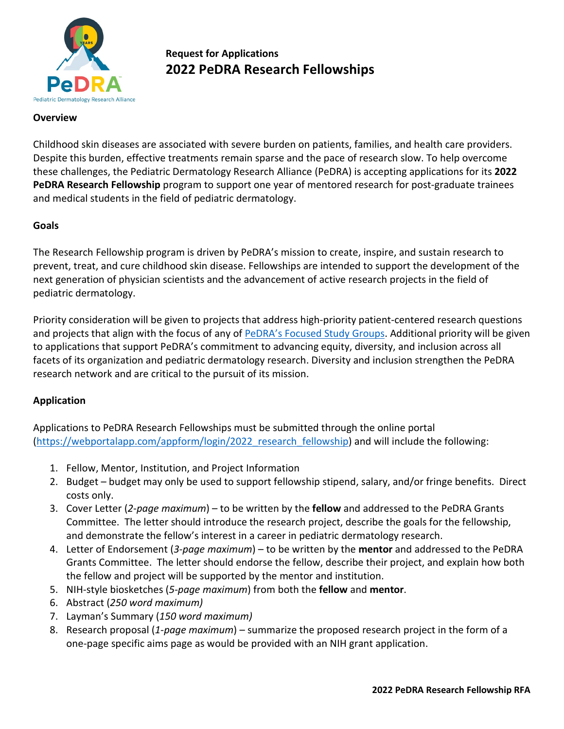

# **Request for Applications 2022 PeDRA Research Fellowships**

## **Overview**

Childhood skin diseases are associated with severe burden on patients, families, and health care providers. Despite this burden, effective treatments remain sparse and the pace of research slow. To help overcome these challenges, the Pediatric Dermatology Research Alliance (PeDRA) is accepting applications for its **2022 PeDRA Research Fellowship** program to support one year of mentored research for post-graduate trainees and medical students in the field of pediatric dermatology.

#### **Goals**

The Research Fellowship program is driven by PeDRA's mission to create, inspire, and sustain research to prevent, treat, and cure childhood skin disease. Fellowships are intended to support the development of the next generation of physician scientists and the advancement of active research projects in the field of pediatric dermatology.

Priority consideration will be given to projects that address high-priority patient-centered research questions and projects that align with the focus of any o[f PeDRA's Focused Study Groups.](https://pedraresearch.org/research-work-areas/) Additional priority will be given to applications that support PeDRA's commitment to advancing equity, diversity, and inclusion across all facets of its organization and pediatric dermatology research. Diversity and inclusion strengthen the PeDRA research network and are critical to the pursuit of its mission.

## **Application**

Applications to PeDRA Research Fellowships must be submitted through the online portal (https://webportalapp.com/appform/login/2022 research fellowship) and will include the following:

- 1. Fellow, Mentor, Institution, and Project Information
- 2. Budget budget may only be used to support fellowship stipend, salary, and/or fringe benefits. Direct costs only.
- 3. Cover Letter (*2*-*page maximum*) to be written by the **fellow** and addressed to the PeDRA Grants Committee. The letter should introduce the research project, describe the goals for the fellowship, and demonstrate the fellow's interest in a career in pediatric dermatology research.
- 4. Letter of Endorsement (*3-page maximum*) to be written by the **mentor** and addressed to the PeDRA Grants Committee. The letter should endorse the fellow, describe their project, and explain how both the fellow and project will be supported by the mentor and institution.
- 5. NIH-style biosketches (*5-page maximum*) from both the **fellow** and **mentor**.
- 6. Abstract (*250 word maximum)*
- 7. Layman's Summary (*150 word maximum)*
- 8. Research proposal (*1-page maximum*) summarize the proposed research project in the form of a one-page specific aims page as would be provided with an NIH grant application.